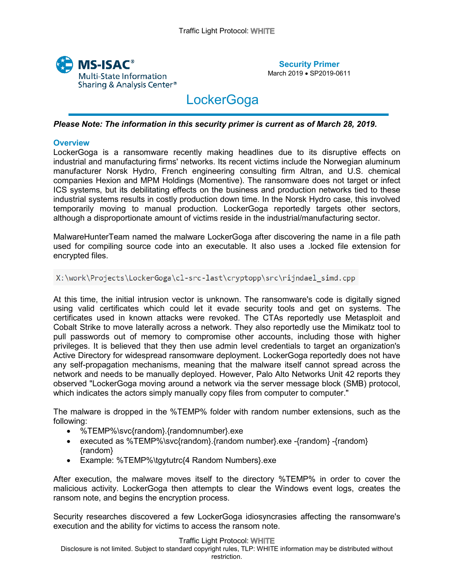

March 2019 • SP2019-0611

# **LockerGoga**

*Please Note: The information in this security primer is current as of March 28, 2019.*

### **Overview**

LockerGoga is a ransomware recently making headlines due to its disruptive effects on industrial and manufacturing firms' networks. Its recent victims include the Norwegian aluminum manufacturer Norsk Hydro, French engineering consulting firm Altran, and U.S. chemical companies Hexion and MPM Holdings (Momentive). The ransomware does not target or infect ICS systems, but its debilitating effects on the business and production networks tied to these industrial systems results in costly production down time. In the Norsk Hydro case, this involved temporarily moving to manual production. LockerGoga reportedly targets other sectors, although a disproportionate amount of victims reside in the industrial/manufacturing sector.

MalwareHunterTeam named the malware LockerGoga after discovering the name in a file path used for compiling source code into an executable. It also uses a .locked file extension for encrypted files.

### X:\work\Projects\LockerGoga\cl-src-last\cryptopp\src\rijndael simd.cpp

At this time, the initial intrusion vector is unknown. The ransomware's code is digitally signed using valid certificates which could let it evade security tools and get on systems. The certificates used in known attacks were revoked. The CTAs reportedly use Metasploit and Cobalt Strike to move laterally across a network. They also reportedly use the Mimikatz tool to pull passwords out of memory to compromise other accounts, including those with higher privileges. It is believed that they then use admin level credentials to target an organization's Active Directory for widespread ransomware deployment. LockerGoga reportedly does not have any self-propagation mechanisms, meaning that the malware itself cannot spread across the network and needs to be manually deployed. However, Palo Alto Networks Unit 42 reports they observed "LockerGoga moving around a network via the server message block (SMB) protocol, which indicates the actors simply manually copy files from computer to computer."

The malware is dropped in the %TEMP% folder with random number extensions, such as the following:

- %TEMP%\svc{random}.{randomnumber}.exe
- executed as %TEMP%\svc{random}.{random number}.exe -{random} -{random} {random}
- Example: %TEMP%\tgytutrc{4 Random Numbers}.exe

After execution, the malware moves itself to the directory %TEMP% in order to cover the malicious activity. LockerGoga then attempts to clear the Windows event logs, creates the ransom note, and begins the encryption process.

Security researches discovered a few LockerGoga idiosyncrasies affecting the ransomware's execution and the ability for victims to access the ransom note.

#### Traffic Light Protocol:

Disclosure is not limited. Subject to standard copyright rules, TLP: WHITE information may be distributed without restriction.